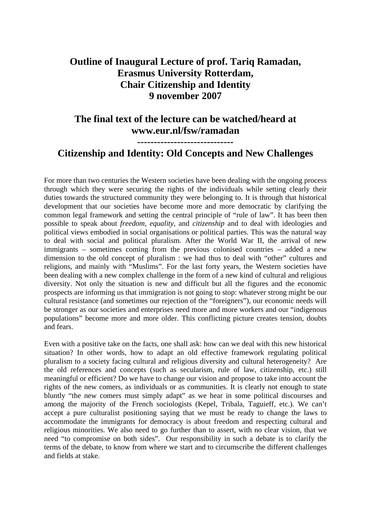## **Outline of Inaugural Lecture of prof. Tariq Ramadan, Erasmus University Rotterdam, Chair Citizenship and Identity 9 november 2007**

## **The final text of the lecture can be watched/heard at www.eur.nl/fsw/ramadan**

**-----------------------------** 

## **Citizenship and Identity: Old Concepts and New Challenges**

For more than two centuries the Western societies have been dealing with the ongoing process through which they were securing the rights of the individuals while setting clearly their duties towards the structured community they were belonging to. It is through that historical development that our societies have become more and more democratic by clarifying the common legal framework and setting the central principle of "rule of law". It has been then possible to speak about *freedom*, *equality*, and *citizenship* and to deal with ideologies and political views embodied in social organisations or political parties. This was the natural way to deal with social and political pluralism. After the World War II, the arrival of new immigrants – sometimes coming from the previous colonised countries – added a new dimension to the old concept of pluralism : we had thus to deal with "other" cultures and religions, and mainly with "Muslims". For the last forty years, the Western societies have been dealing with a new complex challenge in the form of a new kind of cultural and religious diversity. Not only the situation is new and difficult but all the figures and the economic prospects are informing us that immigration is not going to stop: whatever strong might be our cultural resistance (and sometimes our rejection of the "foreigners"), our economic needs will be stronger as our societies and enterprises need more and more workers and our "indigenous populations" become more and more older. This conflicting picture creates tension, doubts and fears.

Even with a positive take on the facts, one shall ask: how can we deal with this new historical situation? In other words, how to adapt an old effective framework regulating political pluralism to a society facing cultural and religious diversity and cultural heterogeneity? Are the old references and concepts (such as secularism, rule of law, citizenship, etc.) still meaningful or efficient? Do we have to change our vision and propose to take into account the rights of the new comers, as individuals or as communities. It is clearly not enough to state bluntly "the new comers must simply adapt" as we hear in some political discourses and among the majority of the French sociologists (Kepel, Tribala, Taguieff, etc.). We can't accept a pure culturalist positioning saying that we must be ready to change the laws to accommodate the immigrants for democracy is about freedom and respecting cultural and religious minorities. We also need to go further than to assert, with no clear vision, that we need "to compromise on both sides". Our responsibility in such a debate is to clarify the terms of the debate, to know from where we start and to circumscribe the different challenges and fields at stake.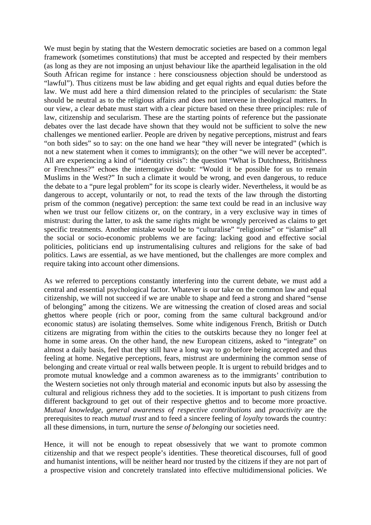We must begin by stating that the Western democratic societies are based on a common legal framework (sometimes constitutions) that must be accepted and respected by their members (as long as they are not imposing an unjust behaviour like the apartheid legalisation in the old South African regime for instance : here consciousness objection should be understood as "lawful"). Thus citizens must be law abiding and get equal rights and equal duties before the law. We must add here a third dimension related to the principles of secularism: the State should be neutral as to the religious affairs and does not intervene in theological matters. In our view, a clear debate must start with a clear picture based on these three principles: rule of law, citizenship and secularism. These are the starting points of reference but the passionate debates over the last decade have shown that they would not be sufficient to solve the new challenges we mentioned earlier. People are driven by negative perceptions, mistrust and fears "on both sides" so to say: on the one hand we hear "they will never be integrated" (which is not a new statement when it comes to immigrants); on the other "we will never be accepted". All are experiencing a kind of "identity crisis": the question "What is Dutchness, Britishness or Frenchness?" echoes the interrogative doubt: "Would it be possible for us to remain Muslims in the West?" In such a climate it would be wrong, and even dangerous, to reduce the debate to a "pure legal problem" for its scope is clearly wider. Nevertheless, it would be as dangerous to accept, voluntarily or not, to read the texts of the law through the distorting prism of the common (negative) perception: the same text could be read in an inclusive way when we trust our fellow citizens or, on the contrary, in a very exclusive way in times of mistrust: during the latter, to ask the same rights might be wrongly perceived as claims to get specific treatments. Another mistake would be to "culturalise" "religionise" or "islamise" all the social or socio-economic problems we are facing: lacking good and effective social politicies, politicians end up instrumentalising cultures and religions for the sake of bad politics. Laws are essential, as we have mentioned, but the challenges are more complex and require taking into account other dimensions.

As we referred to perceptions constantly interfering into the current debate, we must add a central and essential psychological factor. Whatever is our take on the common law and equal citizenship, we will not succeed if we are unable to shape and feed a strong and shared "sense of belonging" among the citizens. We are witnessing the creation of closed areas and social ghettos where people (rich or poor, coming from the same cultural background and/or economic status) are isolating themselves. Some white indigenous French, British or Dutch citizens are migrating from within the cities to the outskirts because they no longer feel at home in some areas. On the other hand, the new European citizens, asked to "integrate" on almost a daily basis, feel that they still have a long way to go before being accepted and thus feeling at home. Negative perceptions, fears, mistrust are undermining the common sense of belonging and create virtual or real walls between people. It is urgent to rebuild bridges and to promote mutual knowledge and a common awareness as to the immigrants' contribution to the Western societies not only through material and economic inputs but also by assessing the cultural and religious richness they add to the societies. It is important to push citizens from different background to get out of their respective ghettos and to become more proactive. *Mutual knowledge*, *general awareness of respective contributions* and *proactivity* are the prerequisites to reach *mutual trust* and to feed a sincere feeling of *loyalty* towards the country: all these dimensions, in turn, nurture the *sense of belonging* our societies need.

Hence, it will not be enough to repeat obsessively that we want to promote common citizenship and that we respect people's identities. These theoretical discourses, full of good and humanist intentions, will be neither heard nor trusted by the citizens if they are not part of a prospective vision and concretely translated into effective multidimensional policies. We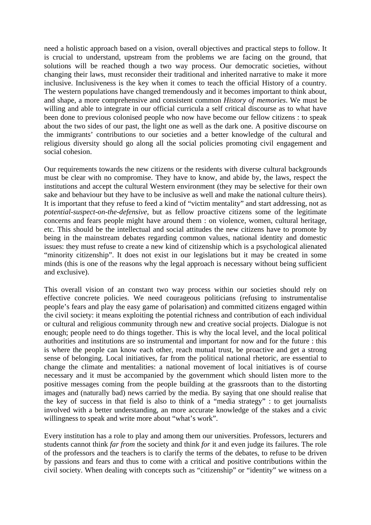need a holistic approach based on a vision, overall objectives and practical steps to follow. It is crucial to understand, upstream from the problems we are facing on the ground, that solutions will be reached though a two way process. Our democratic societies, without changing their laws, must reconsider their traditional and inherited narrative to make it more inclusive. Inclusiveness is the key when it comes to teach the official History of a country. The western populations have changed tremendously and it becomes important to think about, and shape, a more comprehensive and consistent common *History of memories*. We must be willing and able to integrate in our official curricula a self critical discourse as to what have been done to previous colonised people who now have become our fellow citizens : to speak about the two sides of our past, the light one as well as the dark one. A positive discourse on the immigrants' contributions to our societies and a better knowledge of the cultural and religious diversity should go along all the social policies promoting civil engagement and social cohesion.

Our requirements towards the new citizens or the residents with diverse cultural backgrounds must be clear with no compromise. They have to know, and abide by, the laws, respect the institutions and accept the cultural Western environment (they may be selective for their own sake and behaviour but they have to be inclusive as well and make the national culture theirs). It is important that they refuse to feed a kind of "victim mentality" and start addressing, not as *potential-suspect-on-the-defensive*, but as fellow proactive citizens some of the legitimate concerns and fears people might have around them : on violence, women, cultural heritage, etc. This should be the intellectual and social attitudes the new citizens have to promote by being in the mainstream debates regarding common values, national identity and domestic issues: they must refuse to create a new kind of citizenship which is a psychological alienated "minority citizenship". It does not exist in our legislations but it may be created in some minds (this is one of the reasons why the legal approach is necessary without being sufficient and exclusive).

This overall vision of an constant two way process within our societies should rely on effective concrete policies. We need courageous politicians (refusing to instrumentalise people's fears and play the easy game of polarisation) and committed citizens engaged within the civil society: it means exploiting the potential richness and contribution of each individual or cultural and religious community through new and creative social projects. Dialogue is not enough; people need to do things together. This is why the local level, and the local political authorities and institutions are so instrumental and important for now and for the future : this is where the people can know each other, reach mutual trust, be proactive and get a strong sense of belonging. Local initiatives, far from the political national rhetoric, are essential to change the climate and mentalities: a national movement of local initiatives is of course necessary and it must be accompanied by the government which should listen more to the positive messages coming from the people building at the grassroots than to the distorting images and (naturally bad) news carried by the media. By saying that one should realise that the key of success in that field is also to think of a "media strategy" : to get journalists involved with a better understanding, an more accurate knowledge of the stakes and a civic willingness to speak and write more about "what's work".

Every institution has a role to play and among them our universities. Professors, lecturers and students cannot think *far from* the society and think *for* it and even judge its failures. The role of the professors and the teachers is to clarify the terms of the debates, to refuse to be driven by passions and fears and thus to come with a critical and positive contributions within the civil society. When dealing with concepts such as "citizenship" or "identity" we witness on a